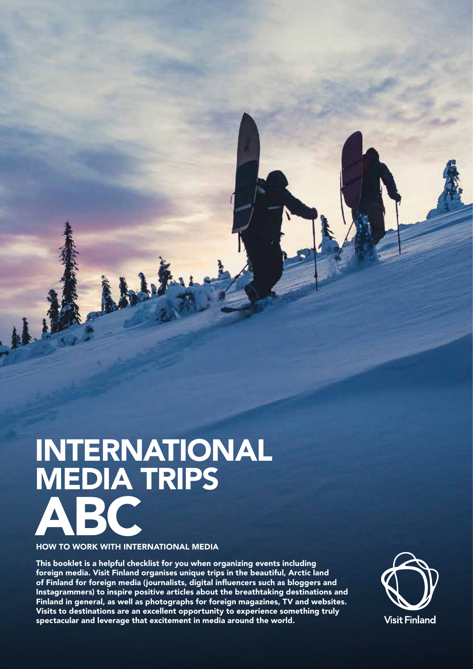# INTERNATIONAL MEDIA TRIPS **ABC**

# HOW TO WORK WITH INTERNATIONAL MEDIA

This booklet is a helpful checklist for you when organizing events including foreign media. Visit Finland organises unique trips in the beautiful, Arctic land of Finland for foreign media (journalists, digital influencers such as bloggers and Instagrammers) to inspire positive articles about the breathtaking destinations and Finland in general, as well as photographs for foreign magazines, TV and websites. Visits to destinations are an excellent opportunity to experience something truly spectacular and leverage that excitement in media around the world.

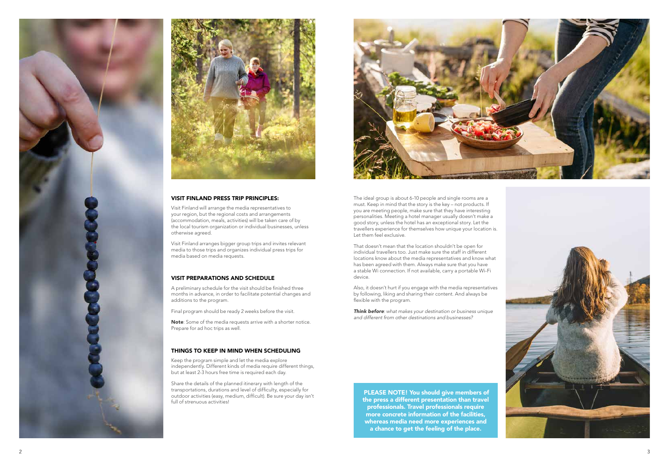PLEASE NOTE! You should give members of the press a different presentation than travel professionals. Travel professionals require more concrete information of the facilities, whereas media need more experiences and a chance to get the feeling of the place.





#### VISIT FINLAND PRESS TRIP PRINCIPLES:

Visit Finland will arrange the media representatives to your region, but the regional costs and arrangements (accommodation, meals, activities) will be taken care of by the local tourism organization or individual businesses, unless otherwise agreed.

Note: Some of the media requests arrive with a shorter notice. Prepare for ad hoc trips as well.

Share the details of the planned itinerary with length of the transportations, durations and level of difficulty, especially for outdoor activities (easy, medium, difficult). Be sure your day isn't full of strenuous activities!

Visit Finland arranges bigger group trips and invites relevant media to those trips and organizes individual press trips for media based on media requests.



# VISIT PREPARATIONS AND SCHEDULE

A preliminary schedule for the visit should be finished three months in advance, in order to facilitate potential changes and additions to the program.

Final program should be ready 2 weeks before the visit.

#### THINGS TO KEEP IN MIND WHEN SCHEDULING

Also, it doesn't hurt if you engage with the media representatives by following, liking and sharing their content. And always be flexible with the program.

Keep the program simple and let the media explore independently. Different kinds of media require different things, but at least 2-3 hours free time is required each day.

Think before: what makes your destination or business unique and different from other destinations and businesses?

The ideal group is about 6-10 people and single rooms are a must. Keep in mind that the story is the key – not products. If you are meeting people, make sure that they have interesting personalities. Meeting a hotel manager usually doesn't make a good story, unless the hotel has an exceptional story. Let the travellers experience for themselves how unique your location is. Let them feel exclusive.

That doesn't mean that the location shouldn't be open for individual travellers too. Just make sure the staff in different locations know about the media representatives and know what has been agreed with them. Always make sure that you have a stable Wi connection. If not available, carry a portable Wi-Fi device.

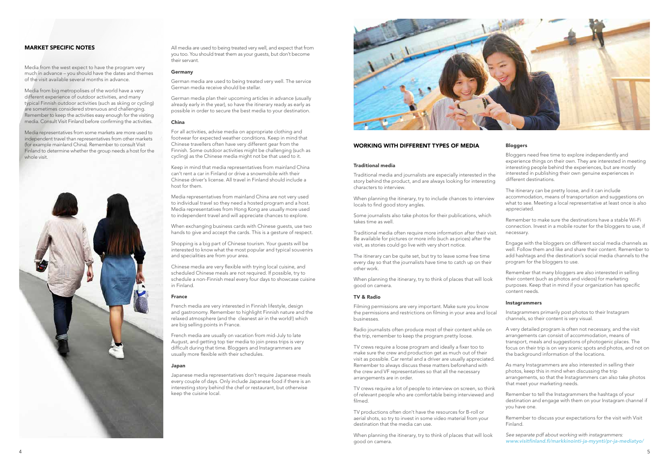# WORKING WITH DIFFERENT TYPES OF MEDIA

#### Traditional media

Traditional media and journalists are especially interested in the story behind the product, and are always looking for interesting characters to interview.

When planning the itinerary, try to include chances to interview locals to find good story angles.

Some journalists also take photos for their publications, which takes time as well.

Traditional media often require more information after their visit. Be available for pictures or more info (such as prices) after the visit, as stories could go live with very short notice.

The itinerary can be quite set, but try to leave some free time every day so that the journalists have time to catch up on their other work.

When planning the itinerary, try to think of places that will look good on camera.

#### TV & Radio

Filming permissions are very important. Make sure you know the permissions and restrictions on filming in your area and local businesses.

Radio journalists often produce most of their content while on the trip, remember to keep the program pretty loose.

TV crews require a loose program and ideally a fixer too to make sure the crew and production get as much out of their visit as possible. Car rental and a driver are usually appreciated. Remember to always discuss these matters beforehand with the crew and VF representatives so that all the necessary arrangements are in order.

TV crews require a lot of people to interview on screen, so think of relevant people who are comfortable being interviewed and filmed.

TV productions often don't have the resources for B-roll or aerial shots, so try to invest in some video material from your destination that the media can use.

When planning the itinerary, try to think of places that will look good on camera.

# Bloggers

Bloggers need free time to explore independently and experience things on their own. They are interested in meeting interesting people behind the experiences, but are mostly interested in publishing their own genuine experiences in different destinations.

The itinerary can be pretty loose, and it can include accommodation, means of transportation and suggestions on what to see. Meeting a local representative at least once is also appreciated.

Remember to make sure the destinations have a stable Wi-Fi connection. Invest in a mobile router for the bloggers to use, if necessary.

Engage with the bloggers on different social media channels as well. Follow them and like and share their content. Remember to add hashtags and the destination's social media channels to the program for the bloggers to use.

Remember that many bloggers are also interested in selling their content (such as photos and videos) for marketing purposes. Keep that in mind if your organization has specific content needs.

#### **Instagrammers**

Instagrammers primarily post photos to their Instagram channels, so their content is very visual.

A very detailed program is often not necessary, and the visit arrangements can consist of accommodation, means of transport, meals and suggestions of photogenic places. The focus on their trip is on very scenic spots and photos, and not on the background information of the locations.

As many Instagrammers are also interested in selling their photos, keep this in mind when discussing the trip arrangements, so that the Instagrammers can also take photos that meet your marketing needs.

Remember to tell the Instagrammers the hashtags of your destination and engage with them on your Instagram channel if you have one.

Remember to discuss your expectations for the visit with Visit Finland.

See separate pdf about working with instagrammers: www.visitfinland.fi/markkinointi-ja-myynti/pr-ja-mediatyo/

All media are used to being treated very well, and expect that from you too. You should treat them as your guests, but don't become their servant.

#### Germany

German media are used to being treated very well. The service German media receive should be stellar.

German media plan their upcoming articles in advance (usually already early in the year), so have the itinerary ready as early as possible in order to secure the best media to your destination.

#### China

For all activities, advise media on appropriate clothing and footwear for expected weather conditions. Keep in mind that Chinese travellers often have very different gear from the Finnish. Some outdoor activities might be challenging (such as cycling) as the Chinese media might not be that used to it.

Keep in mind that media representatives from mainland China can't rent a car in Finland or drive a snowmobile with their Chinese driver's license. All travel in Finland should include a host for them.

Media representatives from mainland China are not very used to individual travel so they need a hosted program and a host. Media representatives from Hong Kong are usually more used to independent travel and will appreciate chances to explore.

When exchanging business cards with Chinese guests, use two hands to give and accept the cards. This is a gesture of respect.

Shopping is a big part of Chinese tourism. Your guests will be interested to know what the most popular and typical souvenirs and specialities are from your area.

Chinese media are very flexible with trying local cuisine, and scheduled Chinese meals are not required. If possible, try to schedule a non-Finnish meal every four days to showcase cuisine in Finland.

#### France

French media are very interested in Finnish lifestyle, design and gastronomy. Remember to highlight Finnish nature and the relaxed atmosphere (and the cleanest air in the world!) which are big selling points in France.

French media are usually on vacation from mid-July to late August, and getting top tier media to join press trips is very difficult during that time. Bloggers and Instagrammers are usually more flexible with their schedules.

#### Japan

Japanese media representatives don't require Japanese meals every couple of days. Only include Japanese food if there is an interesting story behind the chef or restaurant, but otherwise keep the cuisine local.



# MARKET SPECIFIC NOTES

Media from the west expect to have the program very much in advance – you should have the dates and themes of the visit available several months in advance.

Media from big metropolises of the world have a very different experience of outdoor activities, and many typical Finnish outdoor activities (such as skiing or cycling) are sometimes considered strenuous and challenging. Remember to keep the activities easy enough for the visiting media. Consult Visit Finland before confirming the activities.

Media representatives from some markets are more used to independent travel than representatives from other markets (for example mainland China). Remember to consult Visit Finland to determine whether the group needs a host for the whole visit.

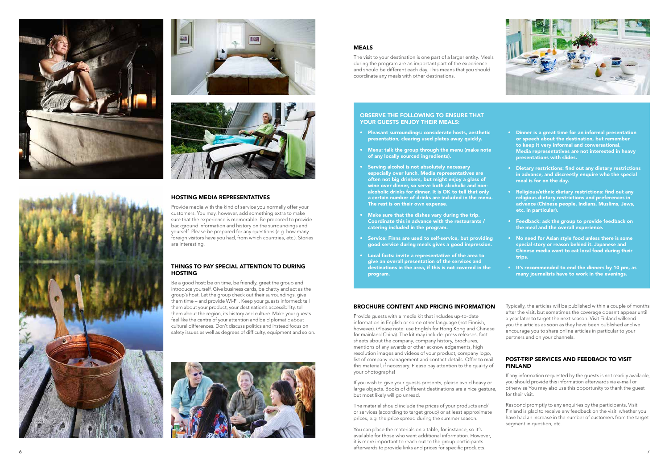





#### HOSTING MEDIA REPRESENTATIVES

# THINGS TO PAY SPECIAL ATTENTION TO DURING **HOSTING**

Provide media with the kind of service you normally offer your customers. You may, however, add something extra to make sure that the experience is memorable. Be prepared to provide background information and history on the surroundings and yourself. Please be prepared for any questions (e.g. how many foreign visitors have you had, from which countries, etc.). Stories are interesting.

Be a good host: be on time, be friendly, greet the group and introduce yourself. Give business cards, be chatty and act as the group's host. Let the group check out their surroundings, give them time – and provide Wi-Fi . Keep your guests informed: tell them about your product, your destination's accessibility, tell them about the region, its history and culture. Make your guests feel like the centre of your attention and be diplomatic about cultural differences. Don't discuss politics and instead focus on safety issues as well as degrees of difficulty, equipment and so on.



# MEALS

The visit to your destination is one part of a larger entity. Meals during the program are an important part of the experience and should be different each day. This means that you should coordinate any meals with other destinations.

- Pleasant surroundings: considerate hosts, aesthetic presentation, clearing used plates away quickly.
- Menu: talk the group through the menu (make note of any locally sourced ingredients).
- Serving alcohol is not absolutely necessary especially over lunch. Media representatives are often not big drinkers, but might enjoy a glass of wine over dinner, so serve both alcoholic and nonalcoholic drinks for dinner. It is OK to tell that only a certain number of drinks are included in the menu. The rest is on their own expense.
- Make sure that the dishes vary during the trip. Coordinate this in advance with the restaurants / catering included in the program.
- Service: Finns are used to self-service, but providing good service during meals gives a good impression.
- Local facts: invite a representative of the area to give an overall presentation of the services and destinations in the area, if this is not covered in the program.

# OBSERVE THE FOLLOWING TO ENSURE THAT YOUR GUESTS ENJOY THEIR MEALS:

# BROCHURE CONTENT AND PRICING INFORMATION

Provide guests with a media kit that includes up-to-date information in English or some other language (not Finnish, however). (Please note: use English for Hong Kong and Chinese for mainland China). The kit may include: press releases, fact sheets about the company, company history, brochures, mentions of any awards or other acknowledgements, high resolution images and videos of your product, company logo, list of company management and contact details. Offer to mail this material, if necessary. Please pay attention to the quality of your photographs!

If you wish to give your guests presents, please avoid heavy or large objects. Books of different destinations are a nice gesture, but most likely will go unread.

The material should include the prices of your products and/ or services (according to target group) or at least approximate prices, e.g. the price spread during the summer season.

You can place the materials on a table, for instance, so it's available for those who want additional information. However, it is more important to reach out to the group participants afterwards to provide links and prices for specific products.



- Dinner is a great time for an informal presentation or speech about the destination, but remember to keep it very informal and conversational. Media representatives are not interested in heavy presentations with slides.
- Dietary restrictions: find out any dietary restrictions in advance, and discreetly enquire who the special meal is for on the day.
- Religious/ethnic dietary restrictions: find out any religious dietary restrictions and preferences in advance (Chinese people, Indians, Muslims, Jews, etc. in particular).
- Feedback: ask the group to provide feedback on the meal and the overall experience.
- No need for Asian style food unless there is some special story or reason behind it. Japanese and Chinese media want to eat local food during their trips.
- It's recommended to end the dinners by 10 pm, as many journalists have to work in the evenings.

Typically, the articles will be published within a couple of months after the visit, but sometimes the coverage doesn't appear until a year later to target the next season. Visit Finland willsend you the articles as soon as they have been published and we encourage you to share online articles in particular to your partners and on your channels.

# POST-TRIP SERVICES AND FEEDBACK TO VISIT FINLAND

If any information requested by the guests is not readily available, you should provide this information afterwards via e-mail or otherwise You may also use this opportunity to thank the guest for their visit.

Respond promptly to any enquiries by the participants. Visit Finland is glad to receive any feedback on the visit: whether you have had an increase in the number of customers from the target segment in question, etc.